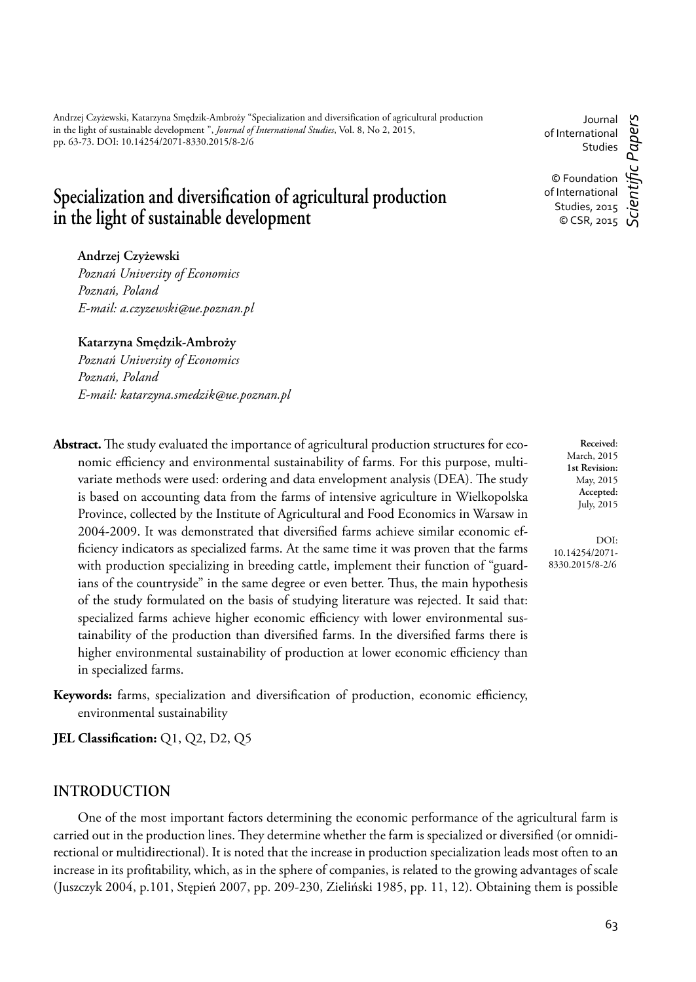Andrzej Czyżewski, Katarzyna Smędzik-Ambroży "Specialization and diversification of agricultural production in the light of sustainable development ", *Journal of International Studies*, Vol. 8, No 2, 2015, pp. 63-73. DOI: 10.14254/2071-8330.2015/8-2/6

# Specialization and diversification of agricultural production in the light of sustainable development

**Andrzej Czyżewski**

*Poznań University of Economics Poznań, Poland E-mail: a.czyzewski@ue.poznan.pl*

**Katarzyna Smędzik-Ambroży** *Poznań University of Economics Poznań, Poland E-mail: katarzyna.smedzik@ue.poznan.pl*

Abstract. The study evaluated the importance of agricultural production structures for economic efficiency and environmental sustainability of farms. For this purpose, multivariate methods were used: ordering and data envelopment analysis (DEA). The study is based on accounting data from the farms of intensive agriculture in Wielkopolska Province, collected by the Institute of Agricultural and Food Economics in Warsaw in 2004-2009. It was demonstrated that diversified farms achieve similar economic efficiency indicators as specialized farms. At the same time it was proven that the farms with production specializing in breeding cattle, implement their function of "guardians of the countryside" in the same degree or even better. Thus, the main hypothesis of the study formulated on the basis of studying literature was rejected. It said that: specialized farms achieve higher economic efficiency with lower environmental sustainability of the production than diversified farms. In the diversified farms there is higher environmental sustainability of production at lower economic efficiency than in specialized farms.

Keywords: farms, specialization and diversification of production, economic efficiency, environmental sustainability

**JEL Classification:** Q1, Q2, D2, Q5

### **INTRODUCTION**

One of the most important factors determining the economic performance of the agricultural farm is carried out in the production lines. They determine whether the farm is specialized or diversified (or omnidirectional or multidirectional). It is noted that the increase in production specialization leads most often to an increase in its profitability, which, as in the sphere of companies, is related to the growing advantages of scale (Juszczyk 2004, p.101, Stępień 2007, pp. 209-230, Zieliński 1985, pp. 11, 12). Obtaining them is possible

Journal c Papers of International Studies

© Foundation of International Studies, 2015  $\circ$  CSR, 2015 *Scientifi c Papers*

> **Received**: March, 2015 **1st Revision:** May, 2015 **Accepted:** July, 2015

DOI: 10.14254/2071- 8330.2015/8-2/6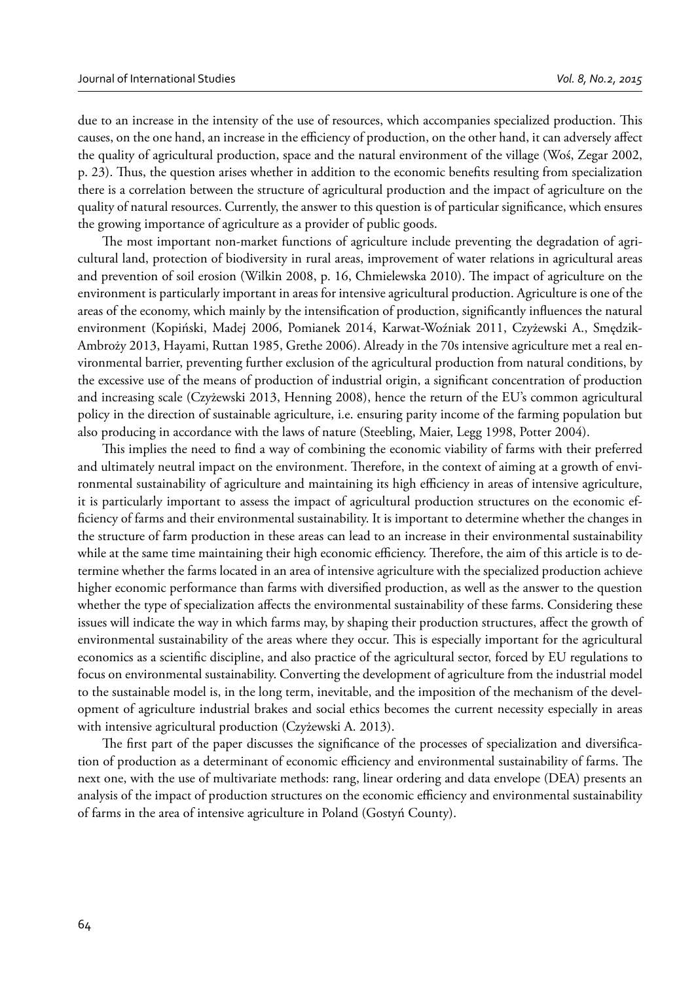due to an increase in the intensity of the use of resources, which accompanies specialized production. This causes, on the one hand, an increase in the efficiency of production, on the other hand, it can adversely affect the quality of agricultural production, space and the natural environment of the village (Woś, Zegar 2002, p. 23). Thus, the question arises whether in addition to the economic benefits resulting from specialization there is a correlation between the structure of agricultural production and the impact of agriculture on the quality of natural resources. Currently, the answer to this question is of particular significance, which ensures the growing importance of agriculture as a provider of public goods.

The most important non-market functions of agriculture include preventing the degradation of agricultural land, protection of biodiversity in rural areas, improvement of water relations in agricultural areas and prevention of soil erosion (Wilkin 2008, p. 16, Chmielewska 2010). The impact of agriculture on the environment is particularly important in areas for intensive agricultural production. Agriculture is one of the areas of the economy, which mainly by the intensification of production, significantly influences the natural environment (Kopiński, Madej 2006, Pomianek 2014, Karwat-Woźniak 2011, Czyżewski A., Smędzik-Ambroży 2013, Hayami, Ruttan 1985, Grethe 2006). Already in the 70s intensive agriculture met a real environmental barrier, preventing further exclusion of the agricultural production from natural conditions, by the excessive use of the means of production of industrial origin, a significant concentration of production and increasing scale (Czyżewski 2013, Henning 2008), hence the return of the EU's common agricultural policy in the direction of sustainable agriculture, i.e. ensuring parity income of the farming population but also producing in accordance with the laws of nature (Steebling, Maier, Legg 1998, Potter 2004).

This implies the need to find a way of combining the economic viability of farms with their preferred and ultimately neutral impact on the environment. Therefore, in the context of aiming at a growth of environmental sustainability of agriculture and maintaining its high efficiency in areas of intensive agriculture, it is particularly important to assess the impact of agricultural production structures on the economic efficiency of farms and their environmental sustainability. It is important to determine whether the changes in the structure of farm production in these areas can lead to an increase in their environmental sustainability while at the same time maintaining their high economic efficiency. Therefore, the aim of this article is to determine whether the farms located in an area of intensive agriculture with the specialized production achieve higher economic performance than farms with diversified production, as well as the answer to the question whether the type of specialization affects the environmental sustainability of these farms. Considering these issues will indicate the way in which farms may, by shaping their production structures, affect the growth of environmental sustainability of the areas where they occur. This is especially important for the agricultural economics as a scientific discipline, and also practice of the agricultural sector, forced by EU regulations to focus on environmental sustainability. Converting the development of agriculture from the industrial model to the sustainable model is, in the long term, inevitable, and the imposition of the mechanism of the development of agriculture industrial brakes and social ethics becomes the current necessity especially in areas with intensive agricultural production (Czyżewski A. 2013).

The first part of the paper discusses the significance of the processes of specialization and diversification of production as a determinant of economic efficiency and environmental sustainability of farms. The next one, with the use of multivariate methods: rang, linear ordering and data envelope (DEA) presents an analysis of the impact of production structures on the economic efficiency and environmental sustainability of farms in the area of intensive agriculture in Poland (Gostyń County).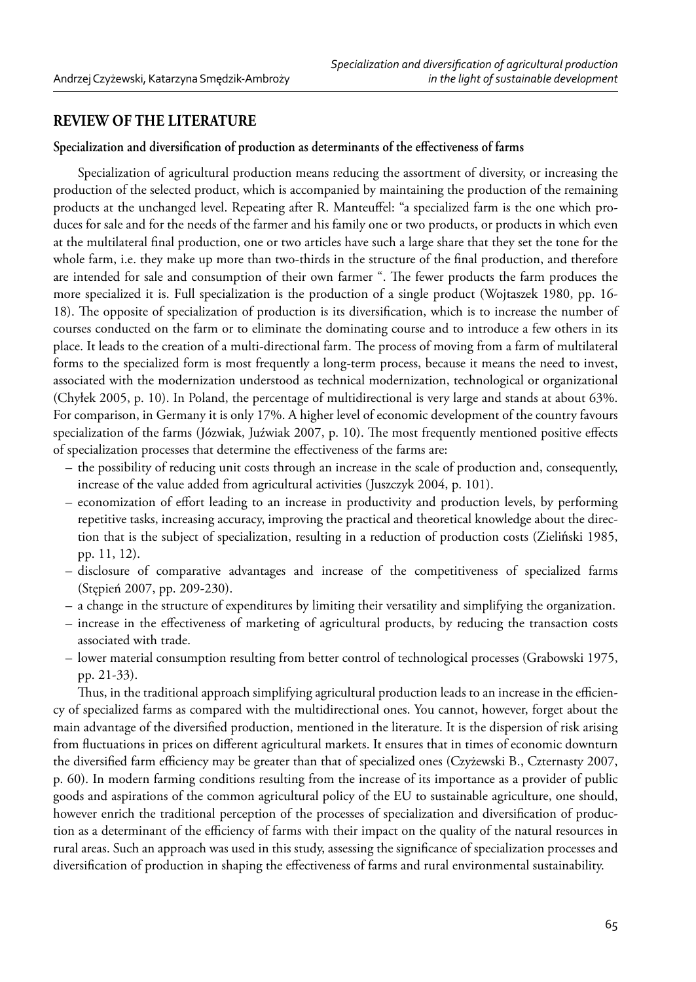## **REVIEW OF THE LITERATURE**

#### Specialization and diversification of production as determinants of the effectiveness of farms

Specialization of agricultural production means reducing the assortment of diversity, or increasing the production of the selected product, which is accompanied by maintaining the production of the remaining products at the unchanged level. Repeating after R. Manteuffel: "a specialized farm is the one which produces for sale and for the needs of the farmer and his family one or two products, or products in which even at the multilateral final production, one or two articles have such a large share that they set the tone for the whole farm, i.e. they make up more than two-thirds in the structure of the final production, and therefore are intended for sale and consumption of their own farmer ". The fewer products the farm produces the more specialized it is. Full specialization is the production of a single product (Wojtaszek 1980, pp. 16- 18). The opposite of specialization of production is its diversification, which is to increase the number of courses conducted on the farm or to eliminate the dominating course and to introduce a few others in its place. It leads to the creation of a multi-directional farm. The process of moving from a farm of multilateral forms to the specialized form is most frequently a long-term process, because it means the need to invest, associated with the modernization understood as technical modernization, technological or organizational (Chyłek 2005, p. 10). In Poland, the percentage of multidirectional is very large and stands at about 63%. For comparison, in Germany it is only 17%. A higher level of economic development of the country favours specialization of the farms (Józwiak, Juźwiak 2007, p. 10). The most frequently mentioned positive effects of specialization processes that determine the effectiveness of the farms are:

- the possibility of reducing unit costs through an increase in the scale of production and, consequently, increase of the value added from agricultural activities (Juszczyk 2004, p. 101).
- economization of effort leading to an increase in productivity and production levels, by performing repetitive tasks, increasing accuracy, improving the practical and theoretical knowledge about the direction that is the subject of specialization, resulting in a reduction of production costs (Zieliński 1985, pp. 11, 12).
- disclosure of comparative advantages and increase of the competitiveness of specialized farms (Stępień 2007, pp. 209-230).
- a change in the structure of expenditures by limiting their versatility and simplifying the organization.
- increase in the effectiveness of marketing of agricultural products, by reducing the transaction costs associated with trade.
- lower material consumption resulting from better control of technological processes (Grabowski 1975, pp. 21-33).

Thus, in the traditional approach simplifying agricultural production leads to an increase in the efficiency of specialized farms as compared with the multidirectional ones. You cannot, however, forget about the main advantage of the diversified production, mentioned in the literature. It is the dispersion of risk arising from fluctuations in prices on different agricultural markets. It ensures that in times of economic downturn the diversified farm efficiency may be greater than that of specialized ones (Czyżewski B., Czternasty 2007, p. 60). In modern farming conditions resulting from the increase of its importance as a provider of public goods and aspirations of the common agricultural policy of the EU to sustainable agriculture, one should, however enrich the traditional perception of the processes of specialization and diversification of production as a determinant of the efficiency of farms with their impact on the quality of the natural resources in rural areas. Such an approach was used in this study, assessing the significance of specialization processes and diversification of production in shaping the effectiveness of farms and rural environmental sustainability.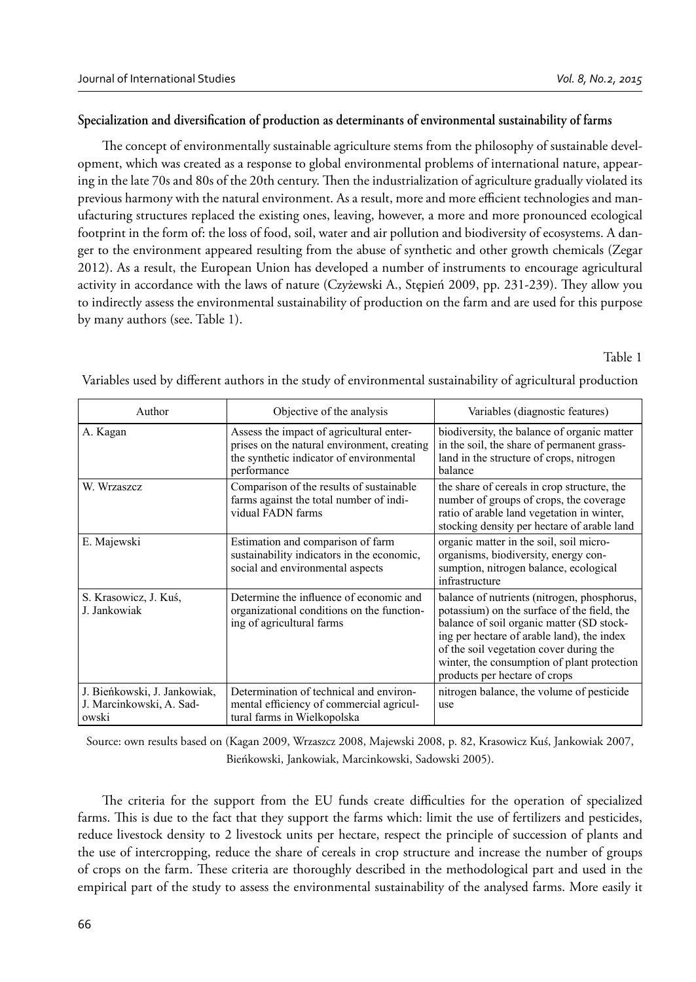## Specialization and diversification of production as determinants of environmental sustainability of farms

The concept of environmentally sustainable agriculture stems from the philosophy of sustainable development, which was created as a response to global environmental problems of international nature, appearing in the late 70s and 80s of the 20th century. Then the industrialization of agriculture gradually violated its previous harmony with the natural environment. As a result, more and more efficient technologies and manufacturing structures replaced the existing ones, leaving, however, a more and more pronounced ecological footprint in the form of: the loss of food, soil, water and air pollution and biodiversity of ecosystems. A danger to the environment appeared resulting from the abuse of synthetic and other growth chemicals (Zegar 2012). As a result, the European Union has developed a number of instruments to encourage agricultural activity in accordance with the laws of nature (Czyżewski A., Stępień 2009, pp. 231-239). They allow you to indirectly assess the environmental sustainability of production on the farm and are used for this purpose by many authors (see. Table 1).

Table 1

| Author                                                            | Objective of the analysis                                                                                                                          | Variables (diagnostic features)                                                                                                                                                                                                                                                                                  |
|-------------------------------------------------------------------|----------------------------------------------------------------------------------------------------------------------------------------------------|------------------------------------------------------------------------------------------------------------------------------------------------------------------------------------------------------------------------------------------------------------------------------------------------------------------|
| A. Kagan                                                          | Assess the impact of agricultural enter-<br>prises on the natural environment, creating<br>the synthetic indicator of environmental<br>performance | biodiversity, the balance of organic matter<br>in the soil, the share of permanent grass-<br>land in the structure of crops, nitrogen<br>halance                                                                                                                                                                 |
| W. Wrzaszcz                                                       | Comparison of the results of sustainable<br>farms against the total number of indi-<br>vidual FADN farms                                           | the share of cereals in crop structure, the<br>number of groups of crops, the coverage<br>ratio of arable land vegetation in winter,<br>stocking density per hectare of arable land                                                                                                                              |
| E. Majewski                                                       | Estimation and comparison of farm<br>sustainability indicators in the economic,<br>social and environmental aspects                                | organic matter in the soil, soil micro-<br>organisms, biodiversity, energy con-<br>sumption, nitrogen balance, ecological<br>infrastructure                                                                                                                                                                      |
| S. Krasowicz, J. Kuś,<br>J. Jankowiak                             | Determine the influence of economic and<br>organizational conditions on the function-<br>ing of agricultural farms                                 | balance of nutrients (nitrogen, phosphorus,<br>potassium) on the surface of the field, the<br>balance of soil organic matter (SD stock-<br>ing per hectare of arable land), the index<br>of the soil vegetation cover during the<br>winter, the consumption of plant protection<br>products per hectare of crops |
| J. Bieńkowski, J. Jankowiak,<br>J. Marcinkowski, A. Sad-<br>owski | Determination of technical and environ-<br>mental efficiency of commercial agricul-<br>tural farms in Wielkopolska                                 | nitrogen balance, the volume of pesticide<br>use                                                                                                                                                                                                                                                                 |

Variables used by different authors in the study of environmental sustainability of agricultural production

Source: own results based on (Kagan 2009, Wrzaszcz 2008, Majewski 2008, p. 82, Krasowicz Kuś, Jankowiak 2007, Bieńkowski, Jankowiak, Marcinkowski, Sadowski 2005).

The criteria for the support from the EU funds create difficulties for the operation of specialized farms. This is due to the fact that they support the farms which: limit the use of fertilizers and pesticides, reduce livestock density to 2 livestock units per hectare, respect the principle of succession of plants and the use of intercropping, reduce the share of cereals in crop structure and increase the number of groups of crops on the farm. These criteria are thoroughly described in the methodological part and used in the empirical part of the study to assess the environmental sustainability of the analysed farms. More easily it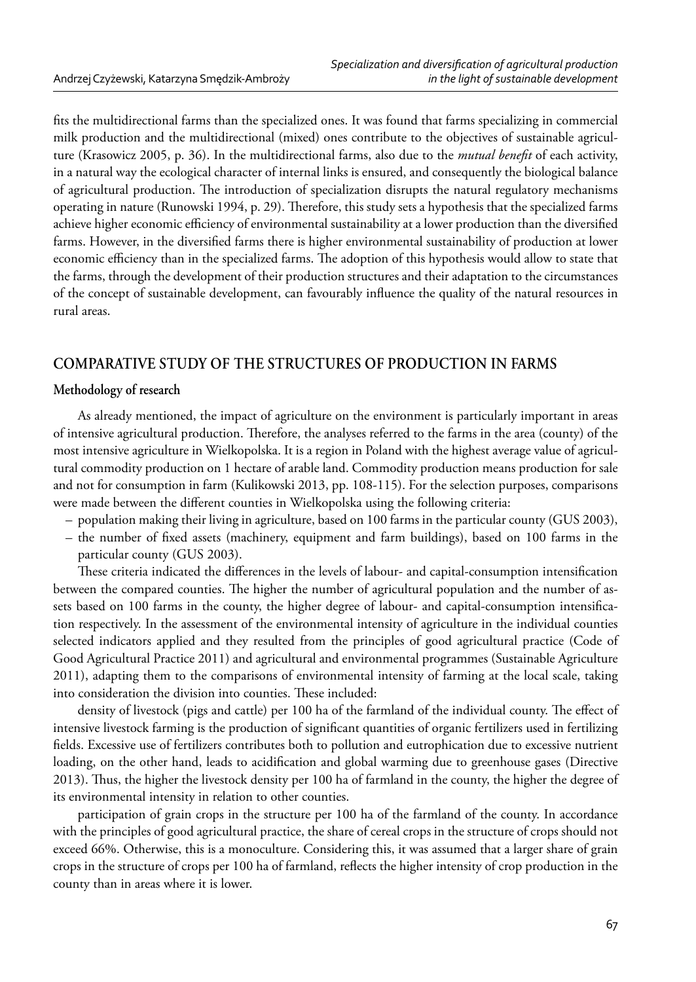fits the multidirectional farms than the specialized ones. It was found that farms specializing in commercial milk production and the multidirectional (mixed) ones contribute to the objectives of sustainable agriculture (Krasowicz 2005, p. 36). In the multidirectional farms, also due to the *mutual benefi t* of each activity, in a natural way the ecological character of internal links is ensured, and consequently the biological balance of agricultural production. The introduction of specialization disrupts the natural regulatory mechanisms operating in nature (Runowski 1994, p. 29). Therefore, this study sets a hypothesis that the specialized farms achieve higher economic efficiency of environmental sustainability at a lower production than the diversified farms. However, in the diversified farms there is higher environmental sustainability of production at lower economic efficiency than in the specialized farms. The adoption of this hypothesis would allow to state that the farms, through the development of their production structures and their adaptation to the circumstances of the concept of sustainable development, can favourably influence the quality of the natural resources in rural areas.

# **COMPARATIVE STUDY OF THE STRUCTURES OF PRODUCTION IN FARMS**

## **Methodology of research**

As already mentioned, the impact of agriculture on the environment is particularly important in areas of intensive agricultural production. Therefore, the analyses referred to the farms in the area (county) of the most intensive agriculture in Wielkopolska. It is a region in Poland with the highest average value of agricultural commodity production on 1 hectare of arable land. Commodity production means production for sale and not for consumption in farm (Kulikowski 2013, pp. 108-115). For the selection purposes, comparisons were made between the different counties in Wielkopolska using the following criteria:

- population making their living in agriculture, based on 100 farms in the particular county (GUS 2003),
- the number of fixed assets (machinery, equipment and farm buildings), based on 100 farms in the particular county (GUS 2003).

These criteria indicated the differences in the levels of labour- and capital-consumption intensification between the compared counties. The higher the number of agricultural population and the number of assets based on 100 farms in the county, the higher degree of labour- and capital-consumption intensification respectively. In the assessment of the environmental intensity of agriculture in the individual counties selected indicators applied and they resulted from the principles of good agricultural practice (Code of Good Agricultural Practice 2011) and agricultural and environmental programmes (Sustainable Agriculture 2011), adapting them to the comparisons of environmental intensity of farming at the local scale, taking into consideration the division into counties. These included:

density of livestock (pigs and cattle) per 100 ha of the farmland of the individual county. The effect of intensive livestock farming is the production of significant quantities of organic fertilizers used in fertilizing fields. Excessive use of fertilizers contributes both to pollution and eutrophication due to excessive nutrient loading, on the other hand, leads to acidification and global warming due to greenhouse gases (Directive 2013). Thus, the higher the livestock density per 100 ha of farmland in the county, the higher the degree of its environmental intensity in relation to other counties.

participation of grain crops in the structure per 100 ha of the farmland of the county. In accordance with the principles of good agricultural practice, the share of cereal crops in the structure of crops should not exceed 66%. Otherwise, this is a monoculture. Considering this, it was assumed that a larger share of grain crops in the structure of crops per 100 ha of farmland, reflects the higher intensity of crop production in the county than in areas where it is lower.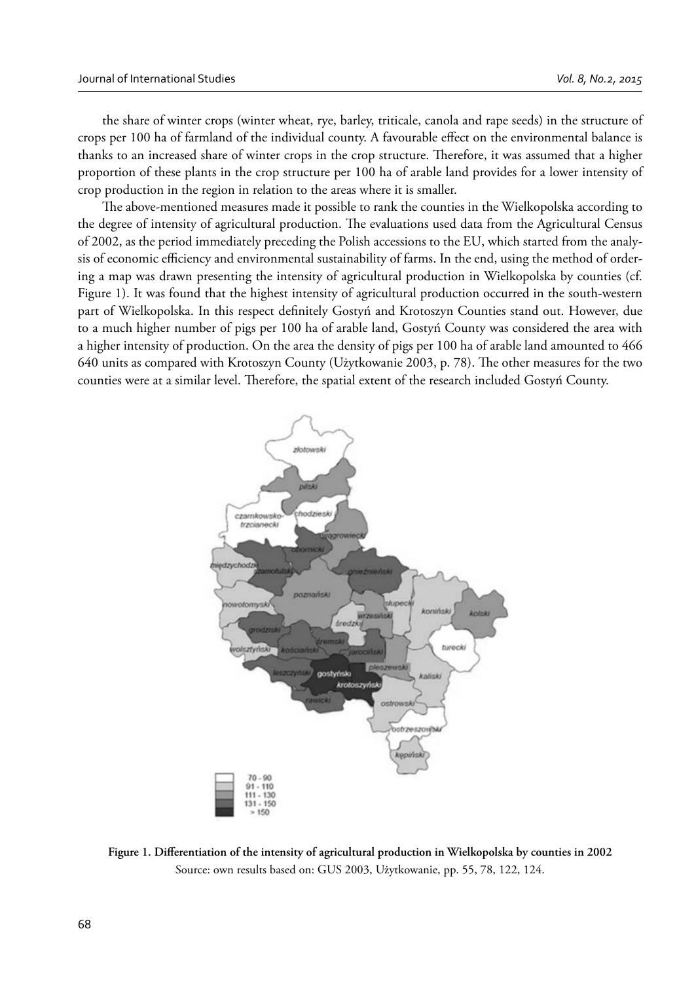the share of winter crops (winter wheat, rye, barley, triticale, canola and rape seeds) in the structure of crops per 100 ha of farmland of the individual county. A favourable effect on the environmental balance is thanks to an increased share of winter crops in the crop structure. Therefore, it was assumed that a higher proportion of these plants in the crop structure per 100 ha of arable land provides for a lower intensity of crop production in the region in relation to the areas where it is smaller.

The above-mentioned measures made it possible to rank the counties in the Wielkopolska according to the degree of intensity of agricultural production. The evaluations used data from the Agricultural Census of 2002, as the period immediately preceding the Polish accessions to the EU, which started from the analysis of economic efficiency and environmental sustainability of farms. In the end, using the method of ordering a map was drawn presenting the intensity of agricultural production in Wielkopolska by counties (cf. Figure 1). It was found that the highest intensity of agricultural production occurred in the south-western part of Wielkopolska. In this respect definitely Gostyń and Krotoszyn Counties stand out. However, due to a much higher number of pigs per 100 ha of arable land, Gostyń County was considered the area with a higher intensity of production. On the area the density of pigs per 100 ha of arable land amounted to 466 640 units as compared with Krotoszyn County (Użytkowanie 2003, p. 78). The other measures for the two counties were at a similar level. Therefore, the spatial extent of the research included Gostyń County.



Figure 1. Differentiation of the intensity of agricultural production in Wielkopolska by counties in 2002 Source: own results based on: GUS 2003, Użytkowanie, pp. 55, 78, 122, 124.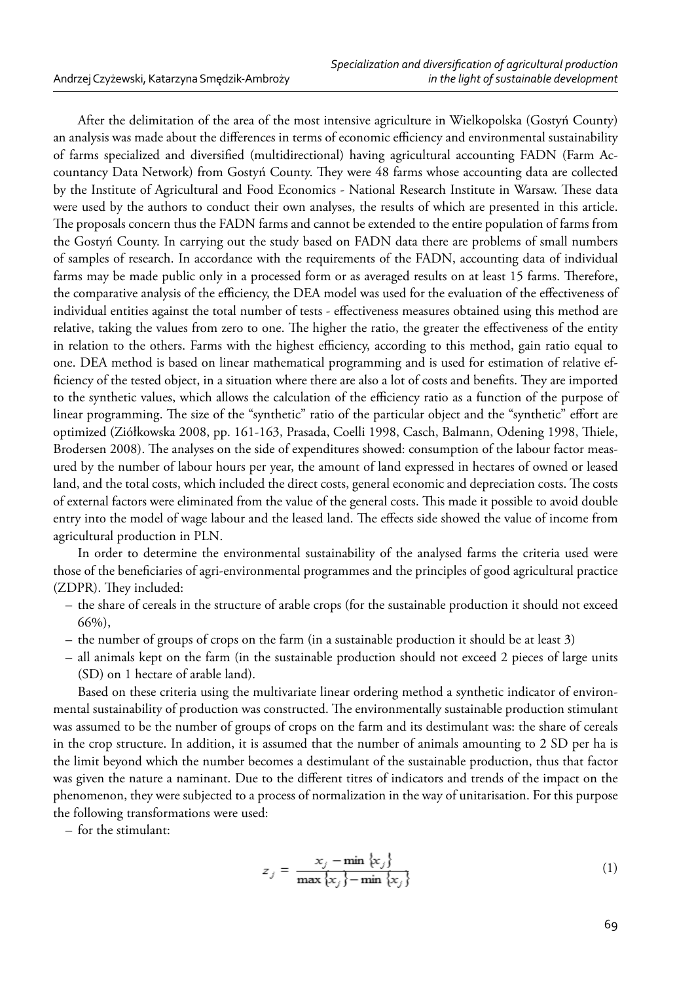After the delimitation of the area of the most intensive agriculture in Wielkopolska (Gostyń County) an analysis was made about the differences in terms of economic efficiency and environmental sustainability of farms specialized and diversified (multidirectional) having agricultural accounting FADN (Farm Accountancy Data Network) from Gostyń County. They were 48 farms whose accounting data are collected by the Institute of Agricultural and Food Economics - National Research Institute in Warsaw. These data were used by the authors to conduct their own analyses, the results of which are presented in this article. The proposals concern thus the FADN farms and cannot be extended to the entire population of farms from the Gostyń County. In carrying out the study based on FADN data there are problems of small numbers of samples of research. In accordance with the requirements of the FADN, accounting data of individual farms may be made public only in a processed form or as averaged results on at least 15 farms. Therefore, the comparative analysis of the efficiency, the DEA model was used for the evaluation of the effectiveness of individual entities against the total number of tests - effectiveness measures obtained using this method are relative, taking the values from zero to one. The higher the ratio, the greater the effectiveness of the entity in relation to the others. Farms with the highest efficiency, according to this method, gain ratio equal to one. DEA method is based on linear mathematical programming and is used for estimation of relative efficiency of the tested object, in a situation where there are also a lot of costs and benefits. They are imported to the synthetic values, which allows the calculation of the efficiency ratio as a function of the purpose of linear programming. The size of the "synthetic" ratio of the particular object and the "synthetic" effort are optimized (Ziółkowska 2008, pp. 161-163, Prasada, Coelli 1998, Casch, Balmann, Odening 1998, Thiele, Brodersen 2008). The analyses on the side of expenditures showed: consumption of the labour factor measured by the number of labour hours per year, the amount of land expressed in hectares of owned or leased land, and the total costs, which included the direct costs, general economic and depreciation costs. The costs of external factors were eliminated from the value of the general costs. This made it possible to avoid double entry into the model of wage labour and the leased land. The effects side showed the value of income from agricultural production in PLN.

In order to determine the environmental sustainability of the analysed farms the criteria used were those of the beneficiaries of agri-environmental programmes and the principles of good agricultural practice (ZDPR). They included:

- the share of cereals in the structure of arable crops (for the sustainable production it should not exceed 66%),
- the number of groups of crops on the farm (in a sustainable production it should be at least 3)
- all animals kept on the farm (in the sustainable production should not exceed 2 pieces of large units (SD) on 1 hectare of arable land).

Based on these criteria using the multivariate linear ordering method a synthetic indicator of environmental sustainability of production was constructed. The environmentally sustainable production stimulant was assumed to be the number of groups of crops on the farm and its destimulant was: the share of cereals in the crop structure. In addition, it is assumed that the number of animals amounting to 2 SD per ha is the limit beyond which the number becomes a destimulant of the sustainable production, thus that factor was given the nature a naminant. Due to the different titres of indicators and trends of the impact on the phenomenon, they were subjected to a process of normalization in the way of unitarisation. For this purpose the following transformations were used:

– for the stimulant:

$$
z_j = \frac{x_j - \min \{x_j\}}{\max \{x_j\} - \min \{x_j\}} \tag{1}
$$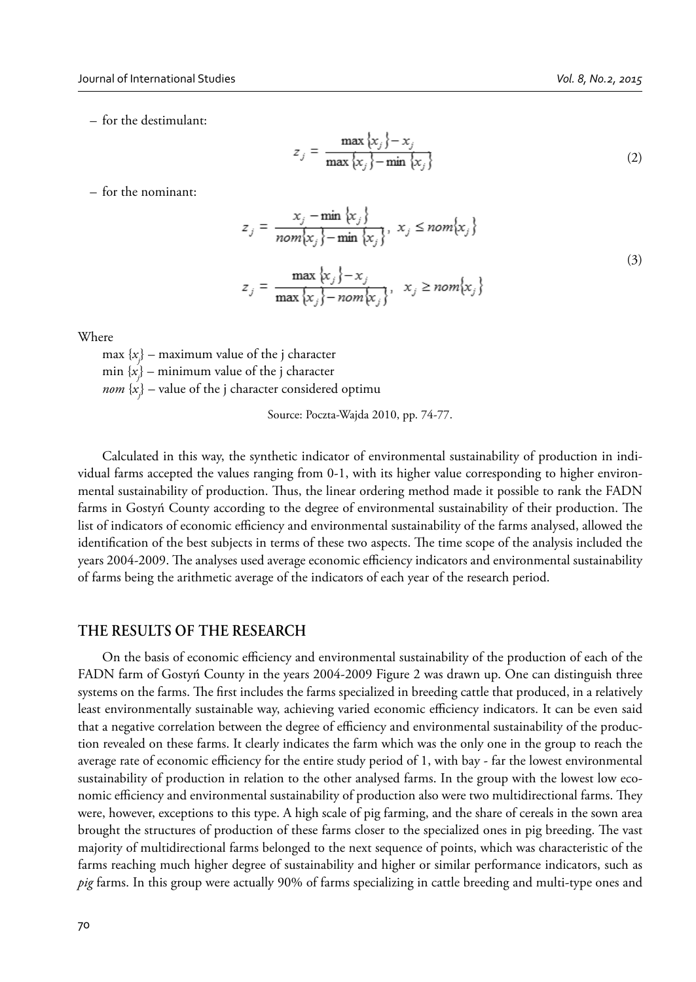$$
z_j = \frac{\max\{x_j\} - x_j}{\max\{x_j\} - \min\{x_j\}}
$$
 (2)

– for the nominant:

$$
z_j = \frac{x_j - \min \{x_j\}}{\text{nom}\{x_j\} - \min \{x_j\}}, \ x_j \le \text{nom}\{x_j\}
$$
  

$$
z_j = \frac{\max \{x_j\} - x_j}{\max \{x_j\} - \text{nom}\{x_j\}}, \ x_j \ge \text{nom}\{x_j\}
$$
 (3)

Where

max {*xj* } – maximum value of the j character min {*xj* } – minimum value of the j character *nom* {*xj* } – value of the j character considered optimu

Source: Poczta-Wajda 2010, pp. 74-77.

Calculated in this way, the synthetic indicator of environmental sustainability of production in individual farms accepted the values ranging from 0-1, with its higher value corresponding to higher environmental sustainability of production. Thus, the linear ordering method made it possible to rank the FADN farms in Gostyń County according to the degree of environmental sustainability of their production. The list of indicators of economic efficiency and environmental sustainability of the farms analysed, allowed the identification of the best subjects in terms of these two aspects. The time scope of the analysis included the years 2004-2009. The analyses used average economic efficiency indicators and environmental sustainability of farms being the arithmetic average of the indicators of each year of the research period.

### **THE RESULTS OF THE RESEARCH**

On the basis of economic efficiency and environmental sustainability of the production of each of the FADN farm of Gostyń County in the years 2004-2009 Figure 2 was drawn up. One can distinguish three systems on the farms. The first includes the farms specialized in breeding cattle that produced, in a relatively least environmentally sustainable way, achieving varied economic efficiency indicators. It can be even said that a negative correlation between the degree of efficiency and environmental sustainability of the production revealed on these farms. It clearly indicates the farm which was the only one in the group to reach the average rate of economic efficiency for the entire study period of 1, with bay - far the lowest environmental sustainability of production in relation to the other analysed farms. In the group with the lowest low economic efficiency and environmental sustainability of production also were two multidirectional farms. They were, however, exceptions to this type. A high scale of pig farming, and the share of cereals in the sown area brought the structures of production of these farms closer to the specialized ones in pig breeding. The vast majority of multidirectional farms belonged to the next sequence of points, which was characteristic of the farms reaching much higher degree of sustainability and higher or similar performance indicators, such as *pig* farms. In this group were actually 90% of farms specializing in cattle breeding and multi-type ones and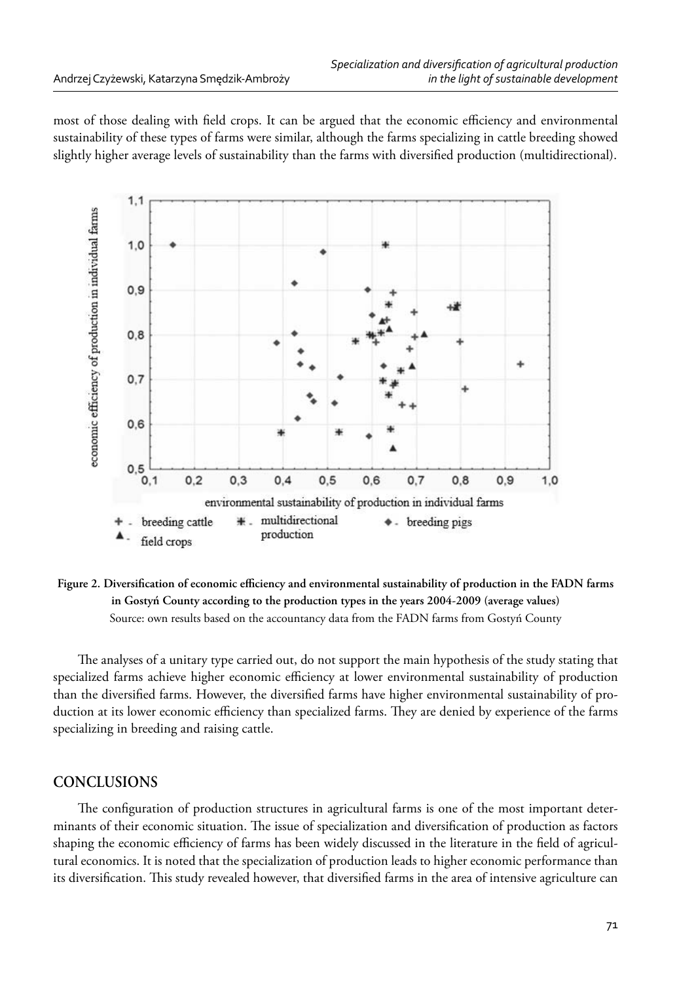most of those dealing with field crops. It can be argued that the economic efficiency and environmental sustainability of these types of farms were similar, although the farms specializing in cattle breeding showed slightly higher average levels of sustainability than the farms with diversified production (multidirectional).



Figure 2. Diversification of economic efficiency and environmental sustainability of production in the FADN farms **in Gostyń County according to the production types in the years 2004-2009 (average values)**  Source: own results based on the accountancy data from the FADN farms from Gostyń County

The analyses of a unitary type carried out, do not support the main hypothesis of the study stating that specialized farms achieve higher economic efficiency at lower environmental sustainability of production than the diversified farms. However, the diversified farms have higher environmental sustainability of production at its lower economic efficiency than specialized farms. They are denied by experience of the farms specializing in breeding and raising cattle.

## **CONCLUSIONS**

The configuration of production structures in agricultural farms is one of the most important determinants of their economic situation. The issue of specialization and diversification of production as factors shaping the economic efficiency of farms has been widely discussed in the literature in the field of agricultural economics. It is noted that the specialization of production leads to higher economic performance than its diversification. This study revealed however, that diversified farms in the area of intensive agriculture can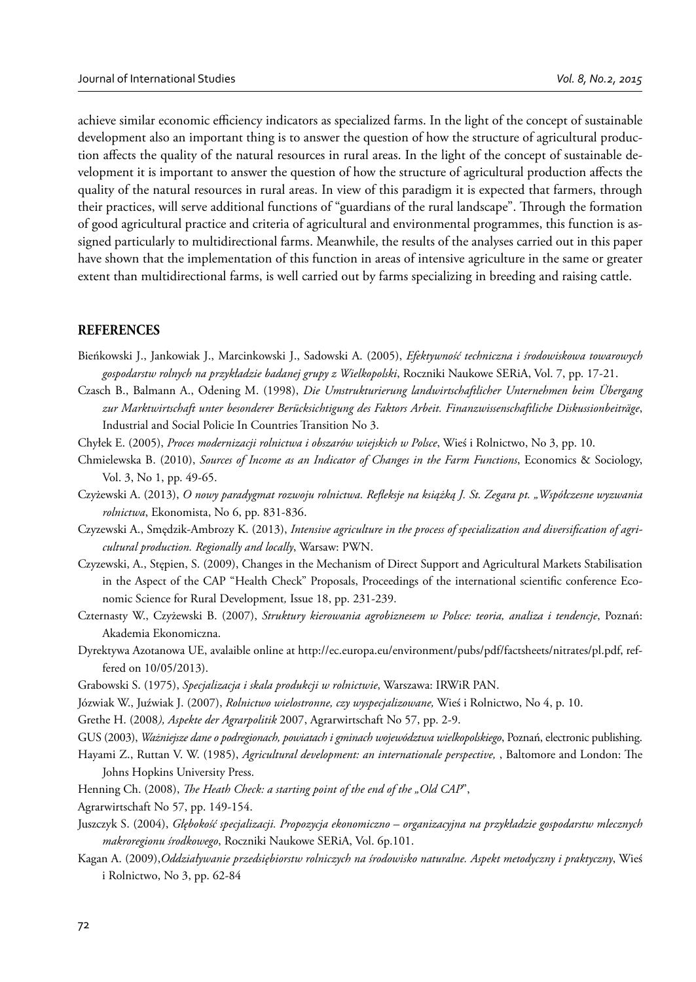achieve similar economic efficiency indicators as specialized farms. In the light of the concept of sustainable development also an important thing is to answer the question of how the structure of agricultural production affects the quality of the natural resources in rural areas. In the light of the concept of sustainable development it is important to answer the question of how the structure of agricultural production affects the quality of the natural resources in rural areas. In view of this paradigm it is expected that farmers, through their practices, will serve additional functions of "guardians of the rural landscape". Through the formation of good agricultural practice and criteria of agricultural and environmental programmes, this function is assigned particularly to multidirectional farms. Meanwhile, the results of the analyses carried out in this paper have shown that the implementation of this function in areas of intensive agriculture in the same or greater extent than multidirectional farms, is well carried out by farms specializing in breeding and raising cattle.

#### **REFERENCES**

- Bieńkowski J., Jankowiak J., Marcinkowski J., Sadowski A. (2005), *Efektywność techniczna i środowiskowa towarowych gospodarstw rolnych na przykładzie badanej grupy z Wielkopolski*, Roczniki Naukowe SERiA, Vol. 7, pp. 17-21.
- Czasch B., Balmann A., Odening M. (1998), *Die Umstrukturierung landwirtschaftlicher Unternehmen beim Übergang zur Marktwirtschaft unter besonderer Berücksichtigung des Faktors Arbeit. Finanzwissenschaftliche Diskussionbeiträge*, Industrial and Social Policie In Countries Transition No 3.
- Chyłek E. (2005), *Proces modernizacji rolnictwa i obszarów wiejskich w Polsce*, Wieś i Rolnictwo, No 3, pp. 10.
- Chmielewska B. (2010), *Sources of Income as an Indicator of Changes in the Farm Functions*, Economics & Sociology, Vol. 3, No 1, pp. 49-65.
- Czyżewski A. (2013), *O nowy paradygmat rozwoju rolnictwa. Refleksje na książką J. St. Zegara pt.* "Współczesne wyzwania *rolnictwa*, Ekonomista, No 6, pp. 831-836.
- Czyzewski A., Smedzik-Ambrozy K. (2013), *Intensive agriculture in the process of specialization and diversification of agricultural production. Regionally and locally*, Warsaw: PWN.
- Czyzewski, A., Stępien, S. (2009), Changes in the Mechanism of Direct Support and Agricultural Markets Stabilisation in the Aspect of the CAP "Health Check" Proposals, Proceedings of the international scientific conference Economic Science for Rural Development*,* Issue 18, pp. 231-239.
- Czternasty W., Czyżewski B. (2007), *Struktury kierowania agrobiznesem w Polsce: teoria, analiza i tendencje*, Poznań: Akademia Ekonomiczna.
- Dyrektywa Azotanowa UE, avalaible online at http://ec.europa.eu/environment/pubs/pdf/factsheets/nitrates/pl.pdf, reffered on 10/05/2013).
- Grabowski S. (1975), *Specjalizacja i skala produkcji w rolnictwie*, Warszawa: IRWiR PAN.
- Józwiak W., Juźwiak J. (2007), *Rolnictwo wielostronne, czy wyspecjalizowane,* Wieś i Rolnictwo, No 4, p. 10.
- Grethe H. (2008*), Aspekte der Agrarpolitik* 2007, Agrarwirtschaft No 57, pp. 2-9.
- GUS (2003), *Ważniejsze dane o podregionach, powiatach i gminach województwa wielkopolskiego*, Poznań, electronic publishing.
- Hayami Z., Ruttan V. W. (1985), *Agricultural development: an internationale perspective*, , Baltomore and London: The Johns Hopkins University Press.
- Henning Ch. (2008), *The Heath Check: a starting point of the end of the "Old CAP*",
- Agrarwirtschaft No 57, pp. 149-154.
- Juszczyk S. (2004), *Głębokość specjalizacji. Propozycja ekonomiczno organizacyjna na przykładzie gospodarstw mlecznych makroregionu środkowego*, Roczniki Naukowe SERiA, Vol. 6p.101.
- Kagan A. (2009),*Oddziaływanie przedsiębiorstw rolniczych na środowisko naturalne. Aspekt metodyczny i praktyczny*, Wieś i Rolnictwo, No 3, pp. 62-84